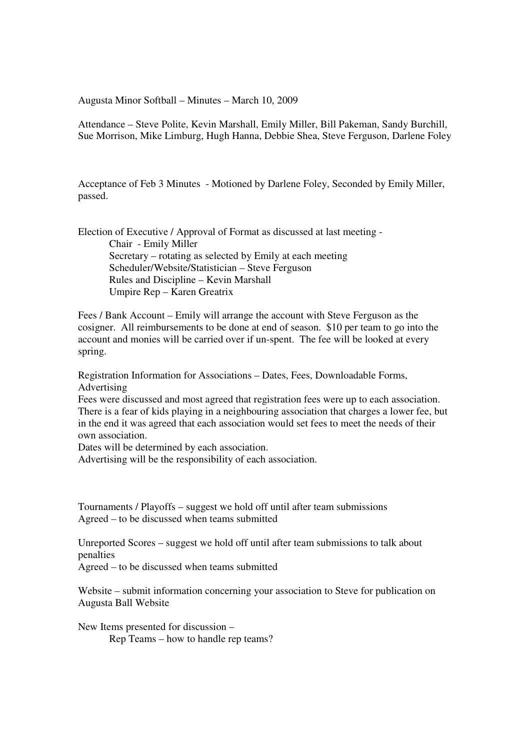Augusta Minor Softball – Minutes – March 10, 2009

Attendance – Steve Polite, Kevin Marshall, Emily Miller, Bill Pakeman, Sandy Burchill, Sue Morrison, Mike Limburg, Hugh Hanna, Debbie Shea, Steve Ferguson, Darlene Foley

Acceptance of Feb 3 Minutes - Motioned by Darlene Foley, Seconded by Emily Miller, passed.

Election of Executive / Approval of Format as discussed at last meeting - Chair - Emily Miller Secretary – rotating as selected by Emily at each meeting Scheduler/Website/Statistician – Steve Ferguson Rules and Discipline – Kevin Marshall Umpire Rep – Karen Greatrix

Fees / Bank Account – Emily will arrange the account with Steve Ferguson as the cosigner. All reimbursements to be done at end of season. \$10 per team to go into the account and monies will be carried over if un-spent. The fee will be looked at every spring.

Registration Information for Associations – Dates, Fees, Downloadable Forms, Advertising

Fees were discussed and most agreed that registration fees were up to each association. There is a fear of kids playing in a neighbouring association that charges a lower fee, but in the end it was agreed that each association would set fees to meet the needs of their own association.

Dates will be determined by each association.

Advertising will be the responsibility of each association.

Tournaments / Playoffs – suggest we hold off until after team submissions Agreed – to be discussed when teams submitted

Unreported Scores – suggest we hold off until after team submissions to talk about penalties

Agreed – to be discussed when teams submitted

Website – submit information concerning your association to Steve for publication on Augusta Ball Website

New Items presented for discussion – Rep Teams – how to handle rep teams?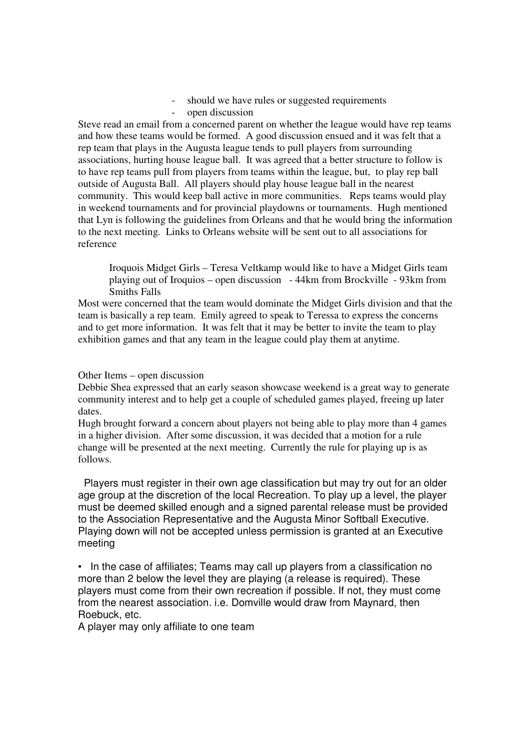- should we have rules or suggested requirements
- open discussion

Steve read an email from a concerned parent on whether the league would have rep teams and how these teams would be formed. A good discussion ensued and it was felt that a rep team that plays in the Augusta league tends to pull players from surrounding associations, hurting house league ball. It was agreed that a better structure to follow is to have rep teams pull from players from teams within the league, but, to play rep ball outside of Augusta Ball. All players should play house league ball in the nearest community. This would keep ball active in more communities. Reps teams would play in weekend tournaments and for provincial playdowns or tournaments. Hugh mentioned that Lyn is following the guidelines from Orleans and that he would bring the information to the next meeting. Links to Orleans website will be sent out to all associations for reference

Iroquois Midget Girls – Teresa Veltkamp would like to have a Midget Girls team playing out of Iroquios – open discussion - 44km from Brockville - 93km from Smiths Falls

Most were concerned that the team would dominate the Midget Girls division and that the team is basically a rep team. Emily agreed to speak to Teressa to express the concerns and to get more information. It was felt that it may be better to invite the team to play exhibition games and that any team in the league could play them at anytime.

## Other Items – open discussion

Debbie Shea expressed that an early season showcase weekend is a great way to generate community interest and to help get a couple of scheduled games played, freeing up later dates.

Hugh brought forward a concern about players not being able to play more than 4 games in a higher division. After some discussion, it was decided that a motion for a rule change will be presented at the next meeting. Currently the rule for playing up is as follows.

 Players must register in their own age classification but may try out for an older age group at the discretion of the local Recreation. To play up a level, the player must be deemed skilled enough and a signed parental release must be provided to the Association Representative and the Augusta Minor Softball Executive. Playing down will not be accepted unless permission is granted at an Executive meeting

• In the case of affiliates; Teams may call up players from a classification no more than 2 below the level they are playing (a release is required). These players must come from their own recreation if possible. If not, they must come from the nearest association. i.e. Domville would draw from Maynard, then Roebuck, etc.

A player may only affiliate to one team